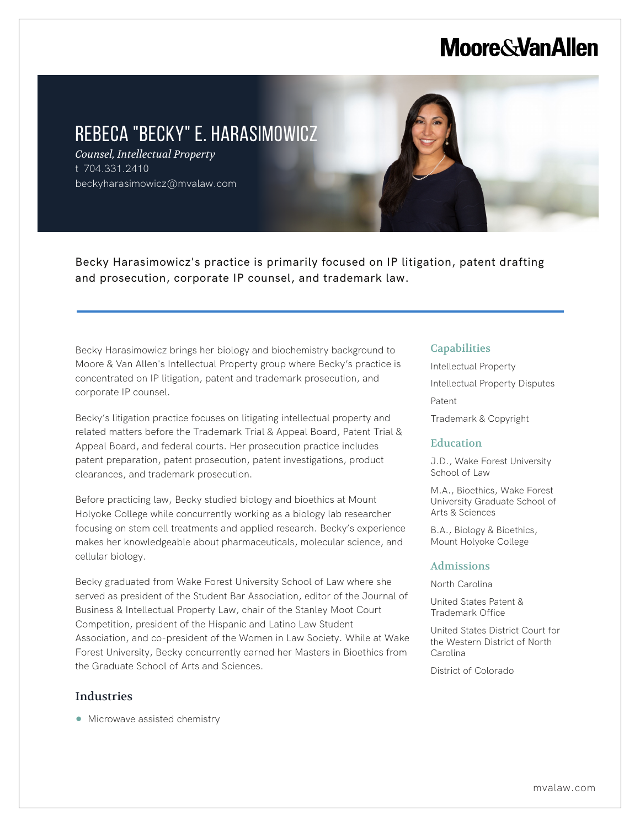# **Moore & Van Allen**

# REBECA "BECKY" E. HARASIMOWICZ

*Counsel, Intellectual Property* t 704.331.2410 beckyharasimowicz@mvalaw.com

Becky Harasimowicz's practice is primarily focused on IP litigation, patent drafting and prosecution, corporate IP counsel, and trademark law.

Becky Harasimowicz brings her biology and biochemistry background to Moore & Van Allen's Intellectual Property group where Becky's practice is concentrated on IP litigation, patent and trademark prosecution, and corporate IP counsel.

Becky's litigation practice focuses on litigating intellectual property and related matters before the Trademark Trial & Appeal Board, Patent Trial & Appeal Board, and federal courts. Her prosecution practice includes patent preparation, patent prosecution, patent investigations, product clearances, and trademark prosecution.

Before practicing law, Becky studied biology and bioethics at Mount Holyoke College while concurrently working as a biology lab researcher focusing on stem cell treatments and applied research. Becky's experience makes her knowledgeable about pharmaceuticals, molecular science, and cellular biology.

Becky graduated from Wake Forest University School of Law where she served as president of the Student Bar Association, editor of the Journal of Business & Intellectual Property Law, chair of the Stanley Moot Court Competition, president of the Hispanic and Latino Law Student Association, and co-president of the Women in Law Society. While at Wake Forest University, Becky concurrently earned her Masters in Bioethics from the Graduate School of Arts and Sciences.

# Industries

L

• Microwave assisted chemistry

## **Capabilities**

Intellectual Property Intellectual Property Disputes Patent Trademark & Copyright

#### **Education**

J.D., Wake Forest University School of Law

M.A., Bioethics, Wake Forest University Graduate School of Arts & Sciences

B.A., Biology & Bioethics, Mount Holyoke College

#### Admissions

North Carolina

United States Patent & Trademark Office

United States District Court for the Western District of North Carolina

District of Colorado